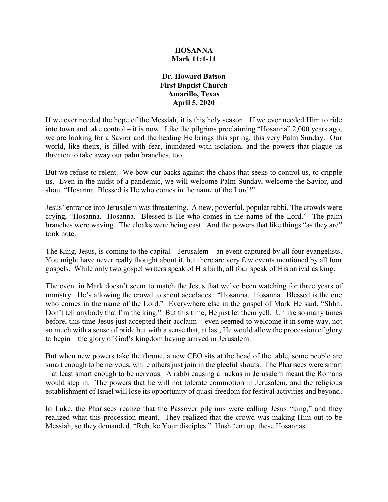## **HOSANNA Mark 11:1-11**

## **Dr. Howard Batson First Baptist Church Amarillo, Texas April 5, 2020**

If we ever needed the hope of the Messiah, it is this holy season. If we ever needed Him to ride into town and take control – it is now. Like the pilgrims proclaiming "Hosanna" 2,000 years ago, we are looking for a Savior and the healing He brings this spring, this very Palm Sunday. Our world, like theirs, is filled with fear, inundated with isolation, and the powers that plague us threaten to take away our palm branches, too.

But we refuse to relent. We bow our backs against the chaos that seeks to control us, to cripple us. Even in the midst of a pandemic, we will welcome Palm Sunday, welcome the Savior, and shout "Hosanna. Blessed is He who comes in the name of the Lord!"

Jesus' entrance into Jerusalem was threatening. A new, powerful, popular rabbi. The crowds were crying, "Hosanna. Hosanna. Blessed is He who comes in the name of the Lord." The palm branches were waving. The cloaks were being cast. And the powers that like things "as they are" took note.

The King, Jesus, is coming to the capital – Jerusalem – an event captured by all four evangelists. You might have never really thought about it, but there are very few events mentioned by all four gospels. While only two gospel writers speak of His birth, all four speak of His arrival as king.

The event in Mark doesn't seem to match the Jesus that we've been watching for three years of ministry. He's allowing the crowd to shout accolades. "Hosanna. Hosanna. Blessed is the one who comes in the name of the Lord." Everywhere else in the gospel of Mark He said, "Shhh. Don't tell anybody that I'm the king." But this time, He just let them yell. Unlike so many times before, this time Jesus just accepted their acclaim – even seemed to welcome it in some way, not so much with a sense of pride but with a sense that, at last, He would allow the procession of glory to begin – the glory of God's kingdom having arrived in Jerusalem.

But when new powers take the throne, a new CEO sits at the head of the table, some people are smart enough to be nervous, while others just join in the gleeful shouts. The Pharisees were smart – at least smart enough to be nervous. A rabbi causing a ruckus in Jerusalem meant the Romans would step in. The powers that be will not tolerate commotion in Jerusalem, and the religious establishment of Israel will lose its opportunity of quasi-freedom for festival activities and beyond.

In Luke, the Pharisees realize that the Passover pilgrims were calling Jesus "king," and they realized what this procession meant. They realized that the crowd was making Him out to be Messiah, so they demanded, "Rebuke Your disciples." Hush 'em up, these Hosannas.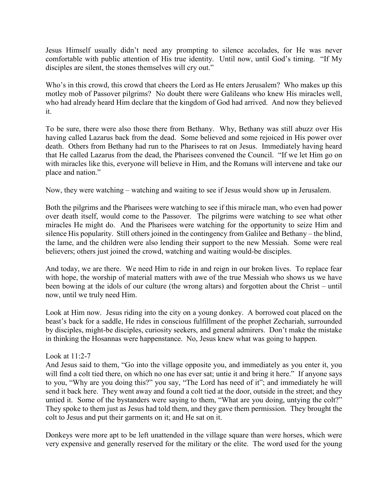Jesus Himself usually didn't need any prompting to silence accolades, for He was never comfortable with public attention of His true identity. Until now, until God's timing. "If My disciples are silent, the stones themselves will cry out."

Who's in this crowd, this crowd that cheers the Lord as He enters Jerusalem? Who makes up this motley mob of Passover pilgrims? No doubt there were Galileans who knew His miracles well, who had already heard Him declare that the kingdom of God had arrived. And now they believed it.

To be sure, there were also those there from Bethany. Why, Bethany was still abuzz over His having called Lazarus back from the dead. Some believed and some rejoiced in His power over death. Others from Bethany had run to the Pharisees to rat on Jesus. Immediately having heard that He called Lazarus from the dead, the Pharisees convened the Council. "If we let Him go on with miracles like this, everyone will believe in Him, and the Romans will intervene and take our place and nation."

Now, they were watching – watching and waiting to see if Jesus would show up in Jerusalem.

Both the pilgrims and the Pharisees were watching to see if this miracle man, who even had power over death itself, would come to the Passover. The pilgrims were watching to see what other miracles He might do. And the Pharisees were watching for the opportunity to seize Him and silence His popularity. Still others joined in the contingency from Galilee and Bethany – the blind, the lame, and the children were also lending their support to the new Messiah. Some were real believers; others just joined the crowd, watching and waiting would-be disciples.

And today, we are there. We need Him to ride in and reign in our broken lives. To replace fear with hope, the worship of material matters with awe of the true Messiah who shows us we have been bowing at the idols of our culture (the wrong altars) and forgotten about the Christ – until now, until we truly need Him.

Look at Him now. Jesus riding into the city on a young donkey. A borrowed coat placed on the beast's back for a saddle, He rides in conscious fulfillment of the prophet Zechariah, surrounded by disciples, might-be disciples, curiosity seekers, and general admirers. Don't make the mistake in thinking the Hosannas were happenstance. No, Jesus knew what was going to happen.

## Look at 11:2-7

And Jesus said to them, "Go into the village opposite you, and immediately as you enter it, you will find a colt tied there, on which no one has ever sat; untie it and bring it here." If anyone says to you, "Why are you doing this?" you say, "The Lord has need of it"; and immediately he will send it back here. They went away and found a colt tied at the door, outside in the street; and they untied it. Some of the bystanders were saying to them, "What are you doing, untying the colt?" They spoke to them just as Jesus had told them, and they gave them permission. They brought the colt to Jesus and put their garments on it; and He sat on it.

Donkeys were more apt to be left unattended in the village square than were horses, which were very expensive and generally reserved for the military or the elite. The word used for the young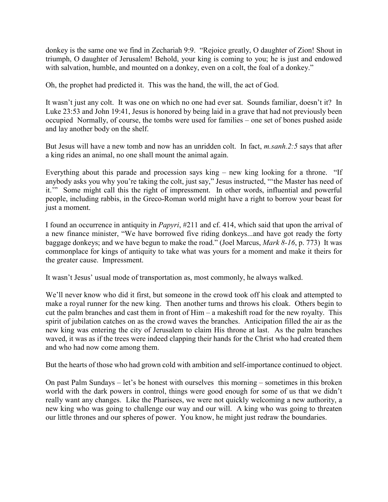donkey is the same one we find in Zechariah 9:9. "Rejoice greatly, O daughter of Zion! Shout in triumph, O daughter of Jerusalem! Behold, your king is coming to you; he is just and endowed with salvation, humble, and mounted on a donkey, even on a colt, the foal of a donkey."

Oh, the prophet had predicted it. This was the hand, the will, the act of God.

It wasn't just any colt. It was one on which no one had ever sat. Sounds familiar, doesn't it? In Luke 23:53 and John 19:41, Jesus is honored by being laid in a grave that had not previously been occupied Normally, of course, the tombs were used for families – one set of bones pushed aside and lay another body on the shelf.

But Jesus will have a new tomb and now has an unridden colt. In fact, *m.sanh.2:5* says that after a king rides an animal, no one shall mount the animal again.

Everything about this parade and procession says king – new king looking for a throne. "If anybody asks you why you're taking the colt, just say," Jesus instructed, "'the Master has need of it.'" Some might call this the right of impressment. In other words, influential and powerful people, including rabbis, in the Greco-Roman world might have a right to borrow your beast for just a moment.

I found an occurrence in antiquity in *Papyri*, #211 and cf. 414, which said that upon the arrival of a new finance minister, "We have borrowed five riding donkeys...and have got ready the forty baggage donkeys; and we have begun to make the road." (Joel Marcus, *Mark 8-16*, p. 773) It was commonplace for kings of antiquity to take what was yours for a moment and make it theirs for the greater cause. Impressment.

It wasn't Jesus' usual mode of transportation as, most commonly, he always walked.

We'll never know who did it first, but someone in the crowd took off his cloak and attempted to make a royal runner for the new king. Then another turns and throws his cloak. Others begin to cut the palm branches and cast them in front of Him – a makeshift road for the new royalty. This spirit of jubilation catches on as the crowd waves the branches. Anticipation filled the air as the new king was entering the city of Jerusalem to claim His throne at last. As the palm branches waved, it was as if the trees were indeed clapping their hands for the Christ who had created them and who had now come among them.

But the hearts of those who had grown cold with ambition and self-importance continued to object.

On past Palm Sundays – let's be honest with ourselves this morning – sometimes in this broken world with the dark powers in control, things were good enough for some of us that we didn't really want any changes. Like the Pharisees, we were not quickly welcoming a new authority, a new king who was going to challenge our way and our will. A king who was going to threaten our little thrones and our spheres of power. You know, he might just redraw the boundaries.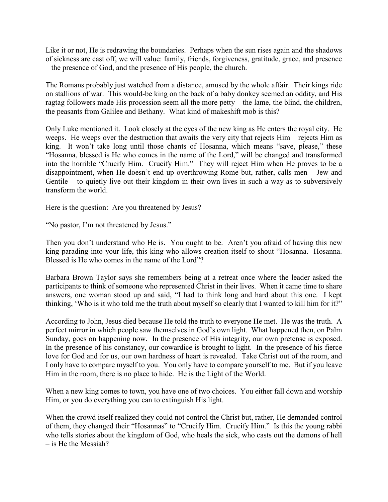Like it or not, He is redrawing the boundaries. Perhaps when the sun rises again and the shadows of sickness are cast off, we will value: family, friends, forgiveness, gratitude, grace, and presence – the presence of God, and the presence of His people, the church.

The Romans probably just watched from a distance, amused by the whole affair. Their kings ride on stallions of war. This would-be king on the back of a baby donkey seemed an oddity, and His ragtag followers made His procession seem all the more petty – the lame, the blind, the children, the peasants from Galilee and Bethany. What kind of makeshift mob is this?

Only Luke mentioned it. Look closely at the eyes of the new king as He enters the royal city. He weeps. He weeps over the destruction that awaits the very city that rejects Him – rejects Him as king. It won't take long until those chants of Hosanna, which means "save, please," these "Hosanna, blessed is He who comes in the name of the Lord," will be changed and transformed into the horrible "Crucify Him. Crucify Him." They will reject Him when He proves to be a disappointment, when He doesn't end up overthrowing Rome but, rather, calls men – Jew and Gentile – to quietly live out their kingdom in their own lives in such a way as to subversively transform the world.

Here is the question: Are you threatened by Jesus?

"No pastor, I'm not threatened by Jesus."

Then you don't understand who He is. You ought to be. Aren't you afraid of having this new king parading into your life, this king who allows creation itself to shout "Hosanna. Hosanna. Blessed is He who comes in the name of the Lord"?

Barbara Brown Taylor says she remembers being at a retreat once where the leader asked the participants to think of someone who represented Christ in their lives. When it came time to share answers, one woman stood up and said, "I had to think long and hard about this one. I kept thinking, 'Who is it who told me the truth about myself so clearly that I wanted to kill him for it?"

According to John, Jesus died because He told the truth to everyone He met. He was the truth. A perfect mirror in which people saw themselves in God's own light. What happened then, on Palm Sunday, goes on happening now. In the presence of His integrity, our own pretense is exposed. In the presence of his constancy, our cowardice is brought to light. In the presence of his fierce love for God and for us, our own hardness of heart is revealed. Take Christ out of the room, and I only have to compare myself to you. You only have to compare yourself to me. But if you leave Him in the room, there is no place to hide. He is the Light of the World.

When a new king comes to town, you have one of two choices. You either fall down and worship Him, or you do everything you can to extinguish His light.

When the crowd itself realized they could not control the Christ but, rather, He demanded control of them, they changed their "Hosannas" to "Crucify Him. Crucify Him." Is this the young rabbi who tells stories about the kingdom of God, who heals the sick, who casts out the demons of hell – is He the Messiah?